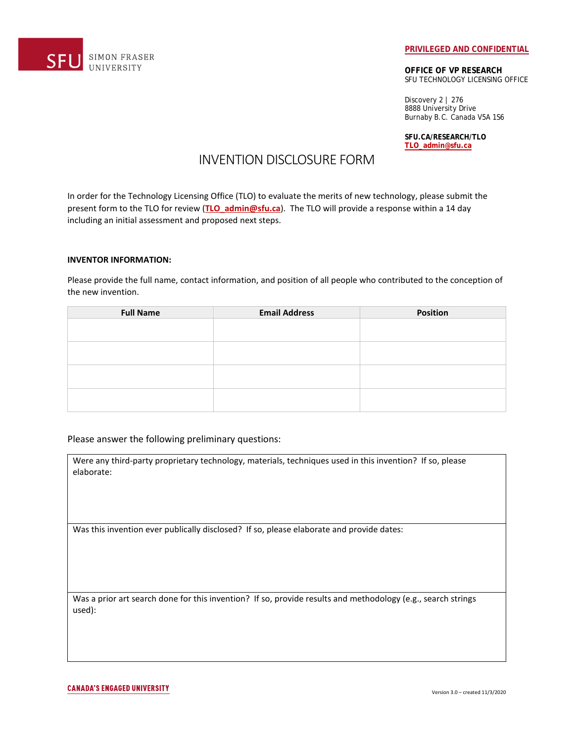

#### **PRIVILEGED AND CONFIDENTIAL**

**OFFICE OF VP RESEARCH** SFU TECHNOLOGY LICENSING OFFICE

Discovery 2 | 276 8888 University Drive Burnaby B.C. Canada V5A 1S6

**SFU.CA/RESEARCH/TLO TLO\_admin@sfu.ca**

# INVENTION DISCLOSURE FORM

In order for the Technology Licensing Office (TLO) to evaluate the merits of new technology, please submit the present form to the TLO for review (**TLO\_admin@sfu.ca**). The TLO will provide a response within a 14 day including an initial assessment and proposed next steps.

# **INVENTOR INFORMATION:**

Please provide the full name, contact information, and position of all people who contributed to the conception of the new invention.

| <b>Full Name</b> | <b>Email Address</b> | <b>Position</b> |
|------------------|----------------------|-----------------|
|                  |                      |                 |
|                  |                      |                 |
|                  |                      |                 |
|                  |                      |                 |
|                  |                      |                 |
|                  |                      |                 |
|                  |                      |                 |
|                  |                      |                 |

# Please answer the following preliminary questions:

| Were any third-party proprietary technology, materials, techniques used in this invention? If so, please |  |  |  |
|----------------------------------------------------------------------------------------------------------|--|--|--|
| elaborate:                                                                                               |  |  |  |

Was this invention ever publically disclosed? If so, please elaborate and provide dates:

Was a prior art search done for this invention? If so, provide results and methodology (e.g., search strings used):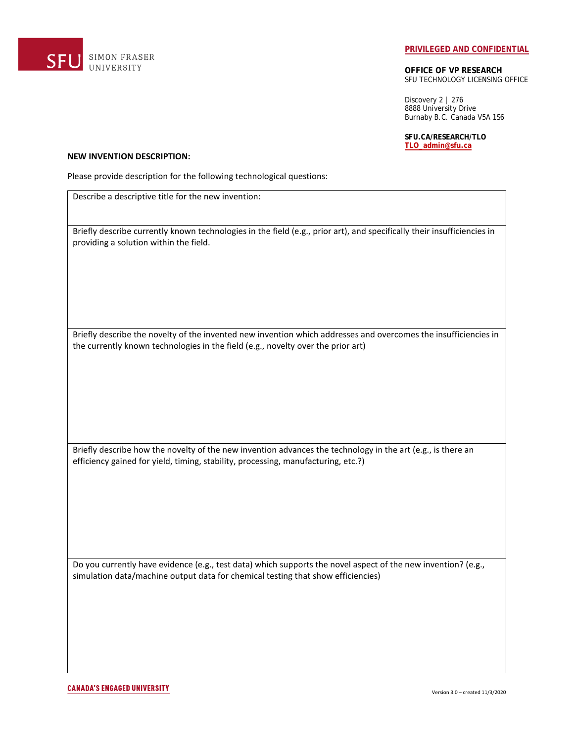

#### **PRIVILEGED AND CONFIDENTIAL**

**OFFICE OF VP RESEARCH** SFU TECHNOLOGY LICENSING OFFICE

Discovery 2 | 276 8888 University Drive Burnaby B.C. Canada V5A 1S6

**SFU.CA/RESEARCH/TLO TLO\_admin@sfu.ca**

#### **NEW INVENTION DESCRIPTION:**

Please provide description for the following technological questions:

Describe a descriptive title for the new invention:

Briefly describe currently known technologies in the field (e.g., prior art), and specifically their insufficiencies in providing a solution within the field.

Briefly describe the novelty of the invented new invention which addresses and overcomes the insufficiencies in the currently known technologies in the field (e.g., novelty over the prior art)

Briefly describe how the novelty of the new invention advances the technology in the art (e.g., is there an efficiency gained for yield, timing, stability, processing, manufacturing, etc.?)

Do you currently have evidence (e.g., test data) which supports the novel aspect of the new invention? (e.g., simulation data/machine output data for chemical testing that show efficiencies)